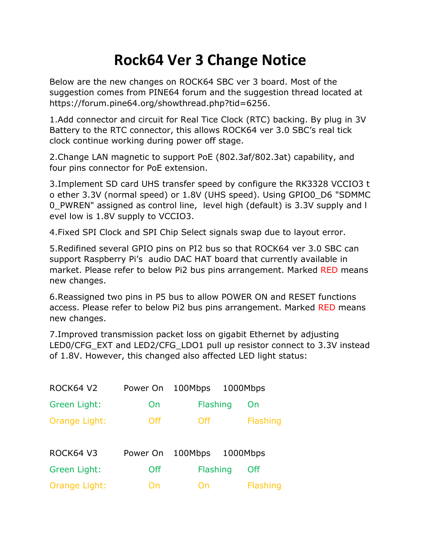## **Rock64 Ver 3 Change Notice**

Below are the new changes on ROCK64 SBC ver 3 board. Most of the suggestion comes from PINE64 forum and the suggestion thread located at https://forum.pine64.org/showthread.php?tid=6256.

1.Add connector and circuit for Real Tice Clock (RTC) backing. By plug in 3V Battery to the RTC connector, this allows ROCK64 ver 3.0 SBC's real tick clock continue working during power off stage.

2.Change LAN magnetic to support PoE (802.3af/802.3at) capability, and four pins connector for PoE extension.

3.Implement SD card UHS transfer speed by configure the RK3328 VCCIO3 t o ether 3.3V (normal speed) or 1.8V (UHS speed). Using GPIO0\_D6 "SDMMC 0\_PWREN" assigned as control line, level high (default) is 3.3V supply and l evel low is 1.8V supply to VCCIO3.

4.Fixed SPI Clock and SPI Chip Select signals swap due to layout error.

5.Redifined several GPIO pins on PI2 bus so that ROCK64 ver 3.0 SBC can support Raspberry Pi's audio DAC HAT board that currently available in market. Please refer to below Pi2 bus pins arrangement. Marked RED means new changes.

6.Reassigned two pins in P5 bus to allow POWER ON and RESET functions access. Please refer to below Pi2 bus pins arrangement. Marked RED means new changes.

7.Improved transmission packet loss on gigabit Ethernet by adjusting LED0/CFG\_EXT and LED2/CFG\_LDO1 pull up resistor connect to 3.3V instead of 1.8V. However, this changed also affected LED light status:

| ROCK64 V2     | Power On | 100Mbps  | 1000Mbps        |
|---------------|----------|----------|-----------------|
| Green Light:  | On       | Flashing | On              |
| Orange Light: | Off      | Off      | Flashing        |
|               |          |          |                 |
| ROCK64 V3     | Power On | 100Mbps  | 1000Mbps        |
| Green Light:  | Off      | Flashing | Off.            |
| Orange Light: | On       | On       | <b>Flashing</b> |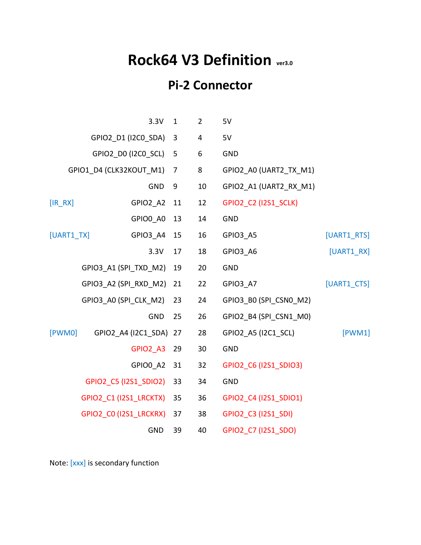## **Rock64 V3 Definition ver3.0**

## **Pi-2 Connector**

|                         | 3.3V                          | $\mathbf{1}$ | $\overline{2}$ | 5V                     |              |
|-------------------------|-------------------------------|--------------|----------------|------------------------|--------------|
| GPIO2_D1 (I2C0_SDA)     |                               | 3            | 4              | 5V                     |              |
| GPIO2_D0 (I2C0_SCL)     |                               | 5            | 6              | <b>GND</b>             |              |
| GPIO1_D4 (CLK32KOUT_M1) |                               | 7            | 8              | GPIO2_A0 (UART2_TX_M1) |              |
|                         | <b>GND</b>                    | 9            | 10             | GPIO2_A1 (UART2_RX_M1) |              |
| $[IR_RX]$               | GPIO2 A2                      | 11           | 12             | GPIO2_C2 (I2S1_SCLK)   |              |
|                         | GPIO0 A0                      | 13           | 14             | <b>GND</b>             |              |
| [UART1 TX]              | GPIO3 A4                      | 15           | 16             | GPIO3 A5               | [UART1_RTS]  |
|                         | 3.3V                          | 17           | 18             | GPIO3 A6               | $[UART1_RX]$ |
|                         | GPIO3_A1 (SPI_TXD_M2)         | 19           | 20             | <b>GND</b>             |              |
|                         | GPIO3_A2 (SPI_RXD_M2)         | 21           | 22             | GPIO3 A7               | [UART1_CTS]  |
|                         | GPIO3_A0 (SPI_CLK_M2)         | 23           | 24             | GPIO3_B0 (SPI_CSN0_M2) |              |
|                         | <b>GND</b>                    | 25           | 26             | GPIO2_B4 (SPI_CSN1_M0) |              |
| [PWM0]                  | GPIO2_A4 (I2C1_SDA)           | 27           | 28             | GPIO2_A5 (I2C1_SCL)    | [PWM1]       |
|                         | GPIO2 A3                      | 29           | 30             | <b>GND</b>             |              |
|                         | GPIO0 A2                      | 31           | 32             | GPIO2_C6 (I2S1_SDIO3)  |              |
|                         | GPIO2_C5 (I2S1_SDIO2)         | 33           | 34             | <b>GND</b>             |              |
|                         | <b>GPIO2_C1 (I2S1_LRCKTX)</b> | 35           | 36             | GPIO2_C4 (I2S1_SDIO1)  |              |
|                         | GPIO2_C0 (I2S1_LRCKRX)        | 37           | 38             | GPIO2_C3 (I2S1_SDI)    |              |
|                         | <b>GND</b>                    | 39           | 40             | GPIO2 C7 (I2S1 SDO)    |              |

Note: [xxx] is secondary function